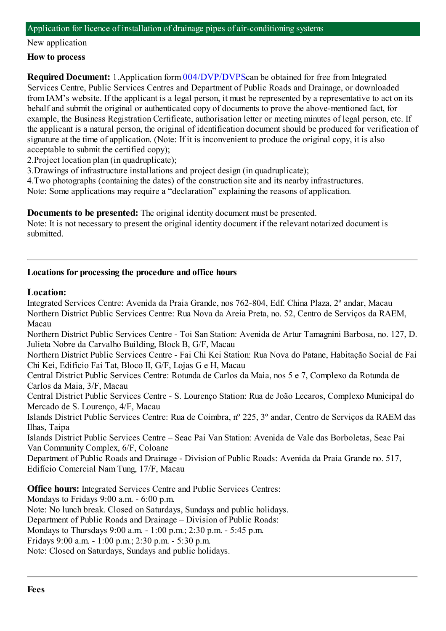#### Application for licence of installation of drainage pipes of air-conditioning systems

#### New application

#### **How to process**

**Required Document:** 1.Application form  $004/DVP/DVP$ Scan be obtained for free from Integrated Services Centre, Public Services Centres and Department of Public Roads and Drainage, or downloaded fromIAM's website. If the applicant is a legal person, it must be represented by a representative to act on its behalf and submit the original or authenticated copy of documents to prove the above-mentioned fact, for example, the Business Registration Certificate, authorisation letter or meeting minutes of legal person, etc. If the applicant is a natural person, the original of identification document should be produced for verification of signature at the time of application. (Note: If it is inconvenient to produce the original copy, it is also acceptable to submit the certified copy);

2.Project location plan (in quadruplicate);

3.Drawings of infrastructure installations and project design (in quadruplicate);

4.Two photographs (containing the dates) of the construction site and its nearby infrastructures. Note: Some applications may require a "declaration" explaining the reasons of application.

**Documents to be presented:** The original identity document must be presented.

Note: It is not necessary to present the original identity document if the relevant notarized document is submitted.

### **Locations for processing the procedure and office hours**

## **Location:**

Integrated Services Centre: Avenida da Praia Grande, nos 762-804, Edf. China Plaza, 2º andar, Macau Northern District Public Services Centre: Rua Nova da Areia Preta, no. 52, Centro de Serviços da RAEM, Macau

Northern District Public Services Centre - Toi San Station: Avenida de Artur Tamagnini Barbosa, no. 127, D. Julieta Nobre da Carvalho Building, Block B, G/F, Macau

Northern District Public Services Centre - Fai Chi Kei Station: Rua Nova do Patane, Habitação Social de Fai Chi Kei, Edifício Fai Tat, Bloco II, G/F, Lojas G e H, Macau

Central District Public Services Centre: Rotunda de Carlos da Maia, nos 5 e 7, Complexo da Rotunda de Carlos da Maia, 3/F, Macau

Central District Public Services Centre - S. Lourenço Station: Rua de João Lecaros, Complexo Municipal do Mercado de S. Lourenço, 4/F, Macau

Islands District Public Services Centre: Rua de Coimbra, nº 225, 3º andar, Centro de Serviços da RAEM das Ilhas, Taipa

Islands District Public Services Centre – Seac Pai Van Station: Avenida de Vale das Borboletas, Seac Pai Van Community Complex, 6/F, Coloane

Department of Public Roads and Drainage - Division of Public Roads: Avenida da Praia Grande no. 517, Edifício Comercial NamTung, 17/F, Macau

**Office hours:** Integrated Services Centre and Public Services Centres:

Mondays to Fridays 9:00 a.m. - 6:00 p.m.

Note: No lunch break. Closed on Saturdays, Sundays and public holidays.

Department of Public Roads and Drainage – Division of Public Roads:

Mondays to Thursdays 9:00 a.m. - 1:00 p.m.; 2:30 p.m. - 5:45 p.m.

Fridays 9:00 a.m. - 1:00 p.m.; 2:30 p.m. - 5:30 p.m.

Note: Closed on Saturdays, Sundays and public holidays.